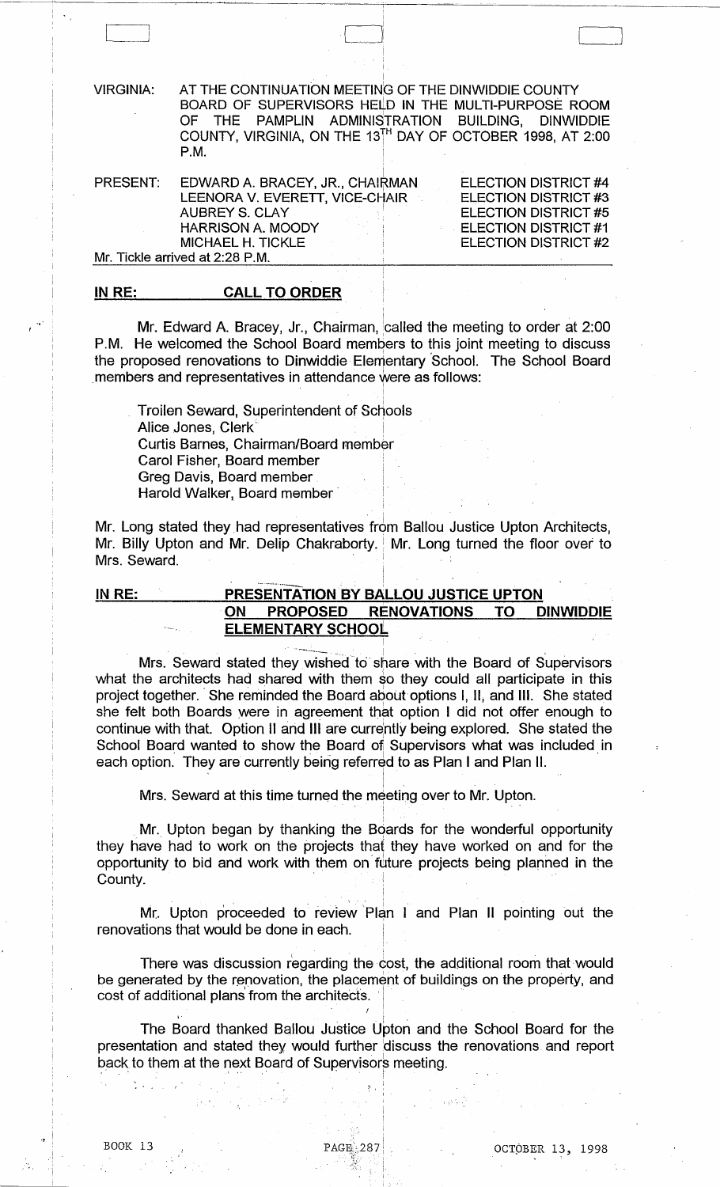VIRGINIA: AT THE CONTINUATION MEETING OF THE DINWIDDIE COUNTY BOARD OF SUPERVISORS HELD IN THE MULTI-PURPOSE ROOM<br>OF THE PAMPLIN ADMINISTRATION BUILDING, DINWIDDIE OF THE PAMPLIN ADMINISTRATION BUILDING, DINWIDDIE COUNTY, VIRGINIA, ON THE 13 $^{\text{TH}}$  DAY OF OCTOBER 1998, AT 2:00 P.M. <sup>1</sup>

I  $\mathbf{I}$ 

I

i

 $\begin{array}{|c|c|c|c|c|}\hline \quad \quad & \quad \quad & \quad \quad & \quad \quad \\ \hline \quad \quad & \quad \quad & \quad \quad & \quad \quad & \quad \quad \\ \hline \quad \quad & \quad \quad & \quad \quad & \quad \quad & \quad \quad \\ \hline \quad \quad & \quad \quad & \quad \quad & \quad \quad & \quad \quad \\ \hline \quad \quad & \quad \quad & \quad \quad & \quad \quad & \quad \quad \\ \hline \quad \quad & \quad \quad & \quad \quad & \quad \quad & \quad \quad \\ \hline \quad \quad & \quad \quad & \quad \quad & \quad \quad & \quad \quad \\ \hline \quad \quad & \quad \quad &$ 

| PRESENT:                        | EDWARD A. BRACEY, JR., CHAIRMAN | <b>ELECTION DISTRICT #4</b> |  |
|---------------------------------|---------------------------------|-----------------------------|--|
|                                 | LEENORA V. EVERETT, VICE-CHAIR  | <b>ELECTION DISTRICT #3</b> |  |
|                                 | AUBREY S. CLAY                  | ELECTION DISTRICT #5        |  |
|                                 | <b>HARRISON A. MOODY</b>        | <b>ELECTION DISTRICT #1</b> |  |
|                                 | MICHAEL H. TICKLE               | ELECTION DISTRICT #2        |  |
| Mr. Tickle arrived at 2:28 P.M. |                                 |                             |  |

#### IN RE: CALL TO ORDER

.,'

Mr. Edward A. Bracey, Jr., Chairman,  $\stackrel{\cdot}{\phantom{\cdot}}$ called the meeting to order at 2:00  $\,$ P.M. He welcomed the School Board members to this joint meeting to discuss the proposed renovations to Dinwiddie Elementary School. The School Board members and representatives in attendance were as follows:

Troilen Seward, Superintendent of Schools Alice Jones, Clerk<sup>®</sup> Curtis Barnes, Chairman/Board member Carol Fisher, Board member i I Greg Davis, Board member ! Harold Walker, Board member

Mr. Long stated they had representatives from Ballou Justice Upton Architects, Mr. Billy Upton and Mr. Delip Chakraborty. Mr. Long turned the floor over to Mrs. Seward.

# IN RE: PRESENTATION BY BALLOU JUSTICE UPTON ON PROPOSED RENOVATIONS TO DINWIDDIE ELEMENTARY SCHOOL

.\_ ........ \_\_ I

Mrs. Seward stated they wished to share with the Board of Supervisors what the architects had shared with them so they could all participate in this project together. She reminded the Board about options I, II, and III. She stated she felt both Boards *were* in agreement that option I did not offer enough to continue with that. Option II and III are currently being explored. She stated the School Board wanted to show the Board of Supervisors what was included in each option. They are currently being referred to as Plan I and Plan II.

I Mrs. Seward at this time turned the meeting over to Mr. Upton.  $\,$ 

, Mr. Upton began by thanking the Boards for the wonderful opportunity they have had to work on the projects that they have worked on and for the opportunity to bid and work with them on future projects being planned in the County.

Mr. Upton proceeded to review Plan I and Plan II pointing out the renovations that would be done in each.

! I

i I

 $\mathfrak{l}$  1

I " I

There was discussion regarding the cost, the additional room that would There was discussion regarding the component of the renovation, the placement cost of additional plans from the architects. be generated by the renovation, the placement of buildings on the property, and

 $\bullet$  , . In the set of the set of the set of the set of the set of the set of the set of the set of the set of the set of the set of the set of the set of the set of the set of the set of the set of the set of the set of The Board thanked Ballou Justice Upton and the School Board for the presentation and stated they would further 'discuss the renovations and report back to them at the next Board of Supervisors meeting.

.:- ,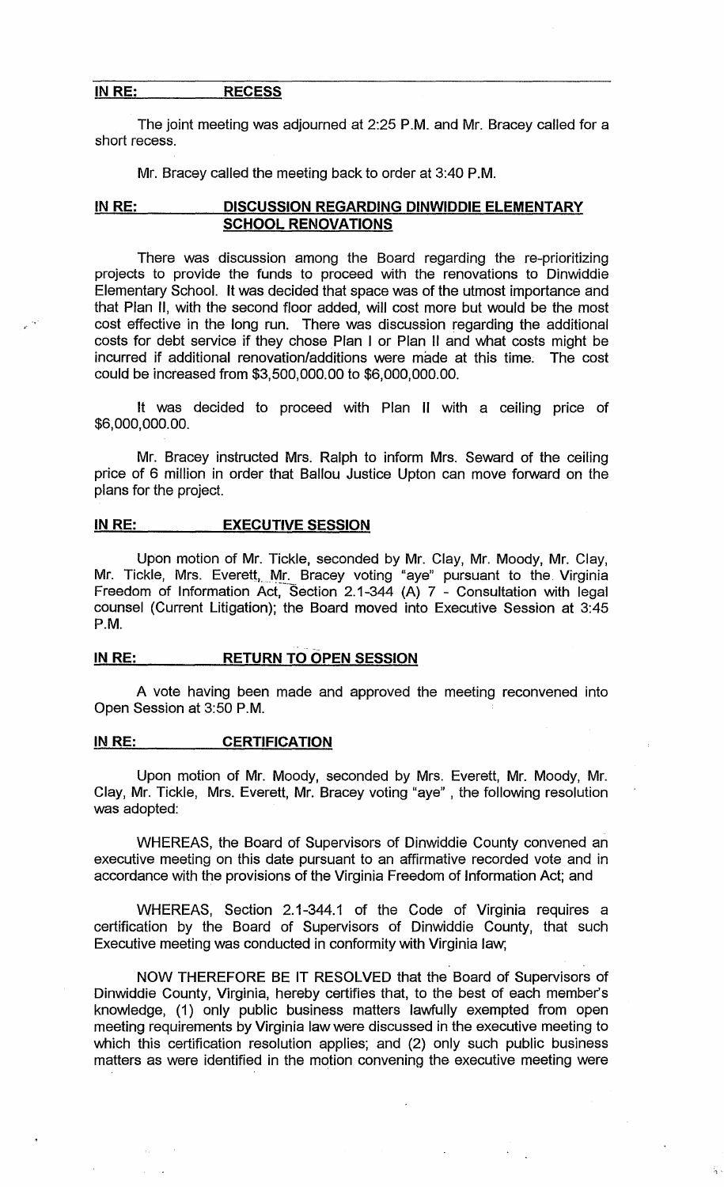### IN RE: RECESS

,.'

The joint meeting was adjourned at 2:25 P.M. and Mr. Bracey called for a short recess.

Mr. Bracey called the meeting back to order at 3:40 P.M.

# IN RE: DISCUSSION REGARDING DINWIDDIE ELEMENTARY SCHOOL RENOVATIONS

There was discussion among the Board regarding the re-prioritizing projects to provide the funds to proceed with the renovations to Dinwiddie Elementary School. It was decided that space was of the utmost importance and that Plan II, with the second floor added, will cost more but would be the most cost effective in the long run. There was discussion regarding the additional costs for debt service if they chose Plan I or Plan II and what costs might be incurred if additional renovation/additions were made at this time. The cost could be increased from \$3,500,000.00 to \$6,000,000.00.

It was decided to proceed with Plan II with a ceiling price of \$6,000,000.00.

Mr. Bracey instructed Mrs. Ralph to inform Mrs. Seward of the ceiling price of 6 million in order that Ballou Justice Upton can move forward on the plans for the project.

## IN RE: EXECUTIVE SESSION

Upon motion of Mr. Tickle, seconded by Mr. Clay, Mr. Moody, Mr. Clay, Mr. Tickle, Mrs. Everett, Mr. Bracey voting "aye" pursuant to the Virginia Freedom of Information Act, Section 2.1-344 (A) 7 - Consultation with legal counsel (Current Litigation); the Board moved into Executive Session at 3:45 P.M.

# IN RE: RETURN TO OPEN SESSION

A vote having been made and approved the meeting reconvened into Open Session at 3:50 P.M.

## IN RE: CERTIFICATION

Upon motion of Mr. Moody, seconded by Mrs. Everett, Mr. Moody, Mr. Clay, Mr. Tickle, Mrs. Everett, Mr. Bracey voting "aye" , the following resolution was adopted:

WHEREAS, the Board of Supervisors of Dinwiddie County convened an executive meeting on this date pursuant to an affirmative recorded vote and in accordance with the provisions of the Virginia Freedom of Information Act; and

WHEREAS, Section 2.1-344.1 of the Code of Virginia requires a certification by the Board of Supervisors of Dinwiddie County, that such Executive meeting was conducted in conformity with Virginia law;

NOW THEREFORE BE IT RESOLVED that the Board of Supervisors of Dinwiddie County, Virginia, hereby certifies that, to the best of each member's knowledge, (1) only public business matters lawfully exempted from open meeting requirements by Virginia law were discussed in the executive meeting to which this certification resolution applies; and (2) only such public business matters as were identified in the motion convening the executive meeting were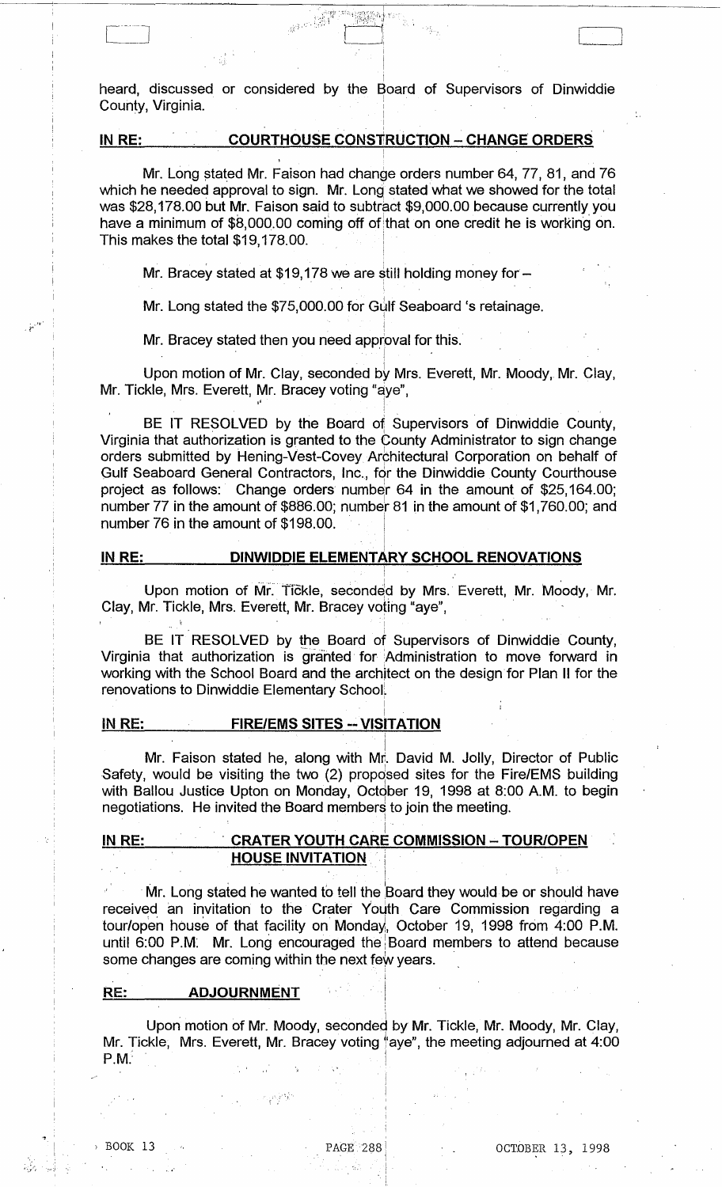i heard, discussed or considered by the Board of Supervisors of Dinwiddie County, Virginia.

# IN RE: COURTHOUSE CONSTRUCTION - CHANGE ORDERS

 $e^{3.5\cdot \frac{1}{100}}$ 

Mr. Long stated Mr. Faison had change orders number 64, 77, 81, and 76 which he needed approval to sign. Mr. Long stated what we showed for the total was \$28,178.00 but Mr. Faison said to subtract \$9,000.00 because currently you have a minimum of \$8,000.00 coming off of that on one credit he is working on. This makes the total \$19,178.00.

Mr. Bracey stated at  $$19,178$  we are still holding money for -

Mr. Long stated the \$75,000.00 for Gulf Seaboard 's retainage.

! Mr. Bracey stated then you need approval for this. '!.

es the total \$19,178.0<br>
Ses the total \$19,178.0<br>
Ses the total \$19,178.0<br>
Ses tated the \$75<br>
Ses tated then<br>
Ses then the Stated then<br>
Sensing Mr. Clarence Mr. Clarence Mr. Clarence Upon motion of Mr. Clay, seconded by Mrs. Everett, Mr. Moody,. Mr. Clay, Mr. Tickle, Mrs. Everett, Mr. Bracey voting "aye",

! BE IT RESOLVED by the Board of Supervisors of Dinwiddie County, Virginia that authorization is granted to the County Administrator to sign change orders submitted by Hening-Vest-Covey Architectural Corporation on behalf of Gulf Seaboard General Contractors, Inc., for the Dinwiddie County Courthouse project as follows: Change orders number 64 in the amount of \$25,164.00; number  $77$  in the amount of \$886.00; number  $81$  in the amount of \$1,760.00; and number 76 in the amount of \$198.00. submitted by Hening-Vest-Covey Architectural Corporation on behalf of<br>
eaboard General Contractors, Inc., for the Dinwiddie County Courthouse<br>
as follows: Change orders number 64 in the amount of \$25,164.00;<br>
r 77 in the a

#### IN RE: **DINWIDDIE ELEMENTARY SCHOOL RENOVATIONS**

Clay, Mr. Tickle, Mrs. Everett, Mr. Bracey voting "aye", . .

i

BE IT RESOLVED by the Board of Supervisors of Dinwiddie County, Virginia that authorization is granted for Administration to move forward in working with the School Board and the architect on the design for Plan II for the renovations to Dinwiddie Elementary School:

I

#### I IN RE: FIRE/EMS SITES -- VISITATION

i Mr. Faison stated he, along with Mr. David M. Jolly, Director of Public Safety, would be visiting the two (2) proposed sites for the Fire/EMS building with Ballou Justice Upton on Monday, October 19, 1998 at 8:00 A.M. to begin negotiations. He invited the Board members to join the meeting. :

#### i IN RE: , CRATER YOUTH CARE COMMISSION - TOUR/OPEN HOUSE INVITATION

Mr. Long stated he wanted to tell the Board they would be or should have received an invitation to the Crater Youth Care Commission regarding a tour/open house of that facility on Monday, October 19, 1998 from 4:00 P.M. until 6:00 P.M. Mr. Long encouraged the Board members to attend because some changes are coming within the next few years.

#### RE: ADJOURNMENT

i Upon motion of Mr. Moody, seconded by Mr. Tickle, Mr. Moody, Mr. Clay, Mr. Tickle, Mrs. Everett, Mr. Bracey voting "aye", the meeting adjourned at 4:00 P.M. **P.M.'**  $\blacksquare$ 

• ., I

 $\cdots$